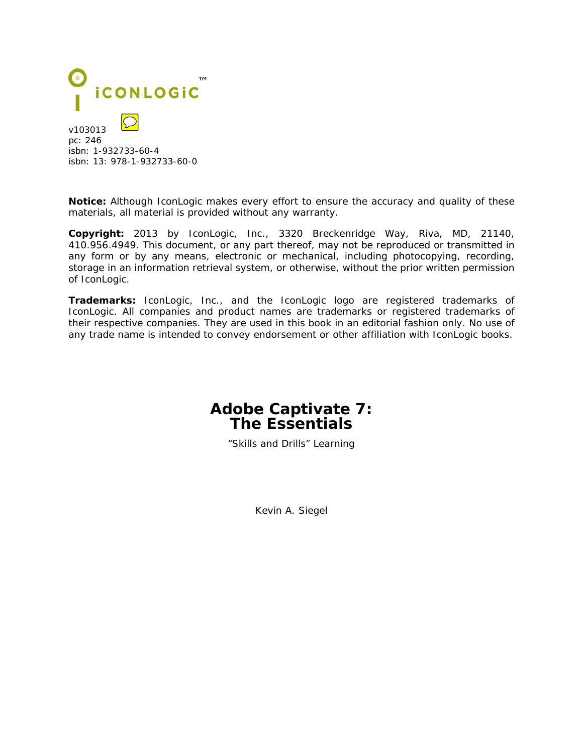

v103013 pc: 246 isbn: 1-932733-60-4 isbn: 13: 978-1-932733-60-0

**Notice:** Although IconLogic makes every effort to ensure the accuracy and quality of these materials, all material is provided without any warranty.

**Copyright:** 2013 by IconLogic, Inc., 3320 Breckenridge Way, Riva, MD, 21140, 410.956.4949. This document, or any part thereof, may not be reproduced or transmitted in any form or by any means, electronic or mechanical, including photocopying, recording, storage in an information retrieval system, or otherwise, without the prior written permission of IconLogic.

**Trademarks:** IconLogic, Inc., and the IconLogic logo are registered trademarks of IconLogic. All companies and product names are trademarks or registered trademarks of their respective companies. They are used in this book in an editorial fashion only. No use of any trade name is intended to convey endorsement or other affiliation with IconLogic books.

## **Adobe Captivate 7: The Essentials**

"Skills and Drills" Learning

Kevin A. Siegel